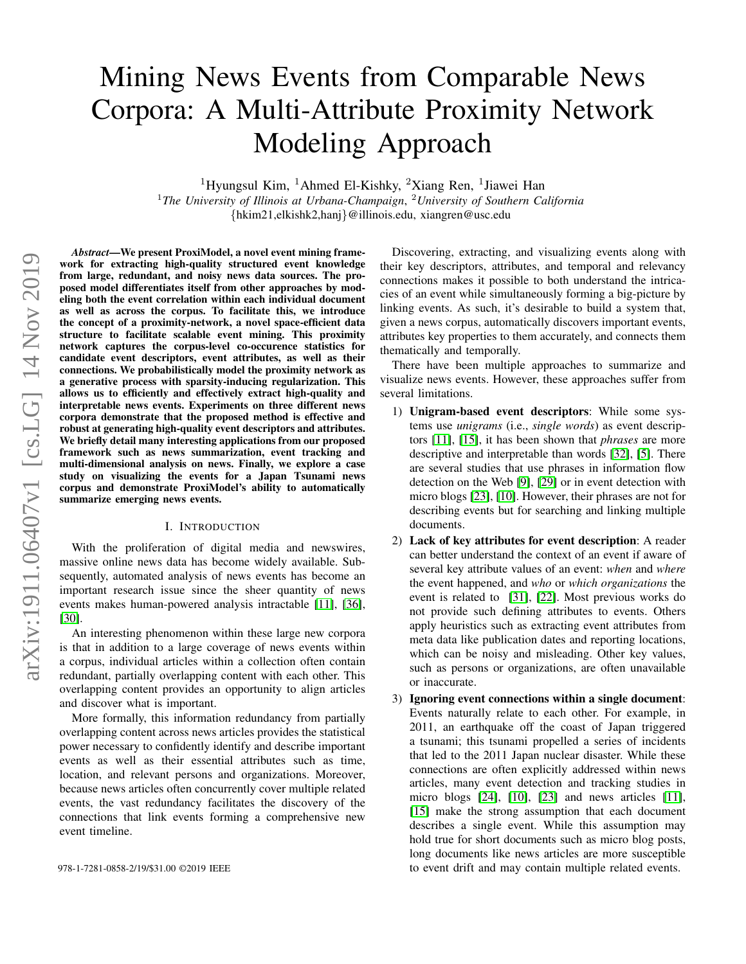# Mining News Events from Comparable News Corpora: A Multi-Attribute Proximity Network Modeling Approach

<sup>1</sup>Hyungsul Kim, <sup>1</sup>Ahmed El-Kishky, <sup>2</sup>Xiang Ren, <sup>1</sup>Jiawei Han

<sup>1</sup>*The University of Illinois at Urbana-Champaign*, <sup>2</sup>*University of Southern California* {hkim21,elkishk2,hanj}@illinois.edu, xiangren@usc.edu

*Abstract*—We present ProxiModel, a novel event mining framework for extracting high-quality structured event knowledge from large, redundant, and noisy news data sources. The proposed model differentiates itself from other approaches by modeling both the event correlation within each individual document as well as across the corpus. To facilitate this, we introduce the concept of a proximity-network, a novel space-efficient data structure to facilitate scalable event mining. This proximity network captures the corpus-level co-occurence statistics for candidate event descriptors, event attributes, as well as their connections. We probabilistically model the proximity network as a generative process with sparsity-inducing regularization. This allows us to efficiently and effectively extract high-quality and interpretable news events. Experiments on three different news corpora demonstrate that the proposed method is effective and robust at generating high-quality event descriptors and attributes. We briefly detail many interesting applications from our proposed framework such as news summarization, event tracking and multi-dimensional analysis on news. Finally, we explore a case study on visualizing the events for a Japan Tsunami news corpus and demonstrate ProxiModel's ability to automatically summarize emerging news events.

#### I. INTRODUCTION

With the proliferation of digital media and newswires, massive online news data has become widely available. Subsequently, automated analysis of news events has become an important research issue since the sheer quantity of news events makes human-powered analysis intractable [\[11\]](#page-9-0), [\[36\]](#page-9-1), [\[30\]](#page-9-2).

An interesting phenomenon within these large new corpora is that in addition to a large coverage of news events within a corpus, individual articles within a collection often contain redundant, partially overlapping content with each other. This overlapping content provides an opportunity to align articles and discover what is important.

More formally, this information redundancy from partially overlapping content across news articles provides the statistical power necessary to confidently identify and describe important events as well as their essential attributes such as time, location, and relevant persons and organizations. Moreover, because news articles often concurrently cover multiple related events, the vast redundancy facilitates the discovery of the connections that link events forming a comprehensive new event timeline.

Discovering, extracting, and visualizing events along with their key descriptors, attributes, and temporal and relevancy connections makes it possible to both understand the intricacies of an event while simultaneously forming a big-picture by linking events. As such, it's desirable to build a system that, given a news corpus, automatically discovers important events, attributes key properties to them accurately, and connects them thematically and temporally.

There have been multiple approaches to summarize and visualize news events. However, these approaches suffer from several limitations.

- 1) Unigram-based event descriptors: While some systems use *unigrams* (i.e., *single words*) as event descriptors [\[11\]](#page-9-0), [\[15\]](#page-9-3), it has been shown that *phrases* are more descriptive and interpretable than words [\[32\]](#page-9-4), [\[5\]](#page-9-5). There are several studies that use phrases in information flow detection on the Web [\[9\]](#page-9-6), [\[29\]](#page-9-7) or in event detection with micro blogs [\[23\]](#page-9-8), [\[10\]](#page-9-9). However, their phrases are not for describing events but for searching and linking multiple documents.
- 2) Lack of key attributes for event description: A reader can better understand the context of an event if aware of several key attribute values of an event: *when* and *where* the event happened, and *who* or *which organizations* the event is related to [\[31\]](#page-9-10), [\[22\]](#page-9-11). Most previous works do not provide such defining attributes to events. Others apply heuristics such as extracting event attributes from meta data like publication dates and reporting locations, which can be noisy and misleading. Other key values, such as persons or organizations, are often unavailable or inaccurate.
- 3) Ignoring event connections within a single document: Events naturally relate to each other. For example, in 2011, an earthquake off the coast of Japan triggered a tsunami; this tsunami propelled a series of incidents that led to the 2011 Japan nuclear disaster. While these connections are often explicitly addressed within news articles, many event detection and tracking studies in micro blogs [\[24\]](#page-9-12), [\[10\]](#page-9-9), [\[23\]](#page-9-8) and news articles [\[11\]](#page-9-0), [\[15\]](#page-9-3) make the strong assumption that each document describes a single event. While this assumption may hold true for short documents such as micro blog posts, long documents like news articles are more susceptible 978-1-7281-0858-2/19/\$31.00 ©2019 IEEE to event drift and may contain multiple related events.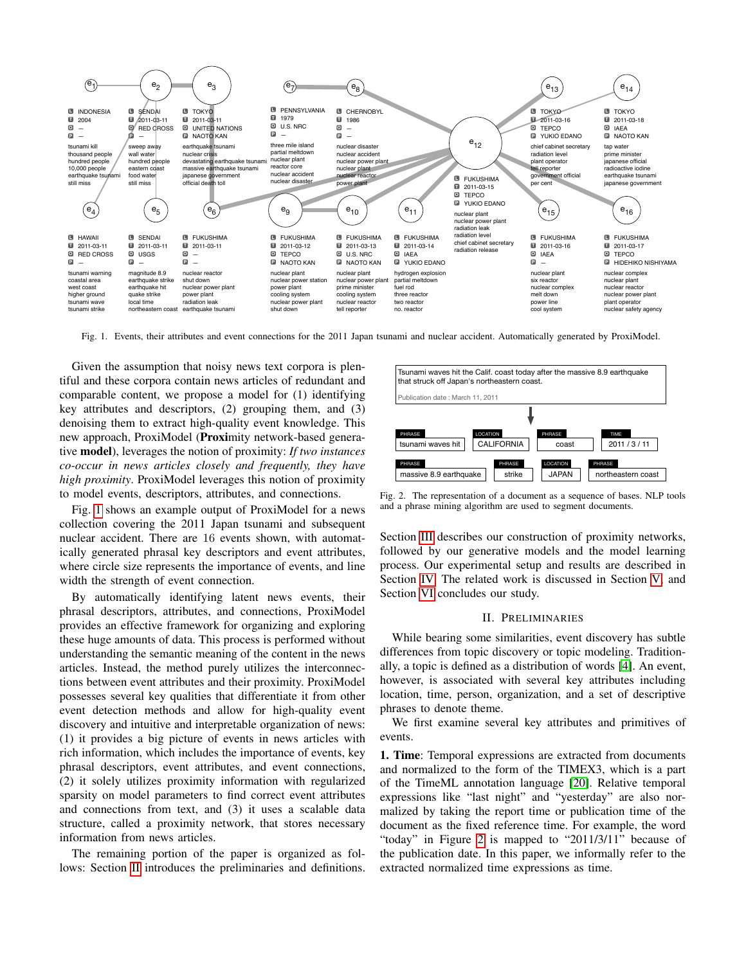

<span id="page-1-0"></span>Fig. 1. Events, their attributes and event connections for the 2011 Japan tsunami and nuclear accident. Automatically generated by ProxiModel.

Given the assumption that noisy news text corpora is plentiful and these corpora contain news articles of redundant and comparable content, we propose a model for (1) identifying key attributes and descriptors, (2) grouping them, and (3) denoising them to extract high-quality event knowledge. This new approach, ProxiModel (Proximity network-based generative model), leverages the notion of proximity: *If two instances co-occur in news articles closely and frequently, they have high proximity*. ProxiModel leverages this notion of proximity to model events, descriptors, attributes, and connections.

Fig. [1](#page-1-0) shows an example output of ProxiModel for a news collection covering the 2011 Japan tsunami and subsequent nuclear accident. There are 16 events shown, with automatically generated phrasal key descriptors and event attributes, where circle size represents the importance of events, and line width the strength of event connection.

By automatically identifying latent news events, their phrasal descriptors, attributes, and connections, ProxiModel provides an effective framework for organizing and exploring these huge amounts of data. This process is performed without understanding the semantic meaning of the content in the news articles. Instead, the method purely utilizes the interconnections between event attributes and their proximity. ProxiModel possesses several key qualities that differentiate it from other event detection methods and allow for high-quality event discovery and intuitive and interpretable organization of news: (1) it provides a big picture of events in news articles with rich information, which includes the importance of events, key phrasal descriptors, event attributes, and event connections, (2) it solely utilizes proximity information with regularized sparsity on model parameters to find correct event attributes and connections from text, and (3) it uses a scalable data structure, called a proximity network, that stores necessary information from news articles.

The remaining portion of the paper is organized as follows: Section [II](#page-1-1) introduces the preliminaries and definitions.



<span id="page-1-2"></span>Fig. 2. The representation of a document as a sequence of bases. NLP tools and a phrase mining algorithm are used to segment documents.

Section [III](#page-2-0) describes our construction of proximity networks, followed by our generative models and the model learning process. Our experimental setup and results are described in Section [IV.](#page-4-0) The related work is discussed in Section [V,](#page-8-0) and Section [VI](#page-8-1) concludes our study.

# II. PRELIMINARIES

<span id="page-1-1"></span>While bearing some similarities, event discovery has subtle differences from topic discovery or topic modeling. Traditionally, a topic is defined as a distribution of words [\[4\]](#page-9-13). An event, however, is associated with several key attributes including location, time, person, organization, and a set of descriptive phrases to denote theme.

We first examine several key attributes and primitives of events.

1. Time: Temporal expressions are extracted from documents and normalized to the form of the TIMEX3, which is a part of the TimeML annotation language [\[20\]](#page-9-14). Relative temporal expressions like "last night" and "yesterday" are also normalized by taking the report time or publication time of the document as the fixed reference time. For example, the word "today" in Figure [2](#page-1-2) is mapped to "2011/3/11" because of the publication date. In this paper, we informally refer to the extracted normalized time expressions as time.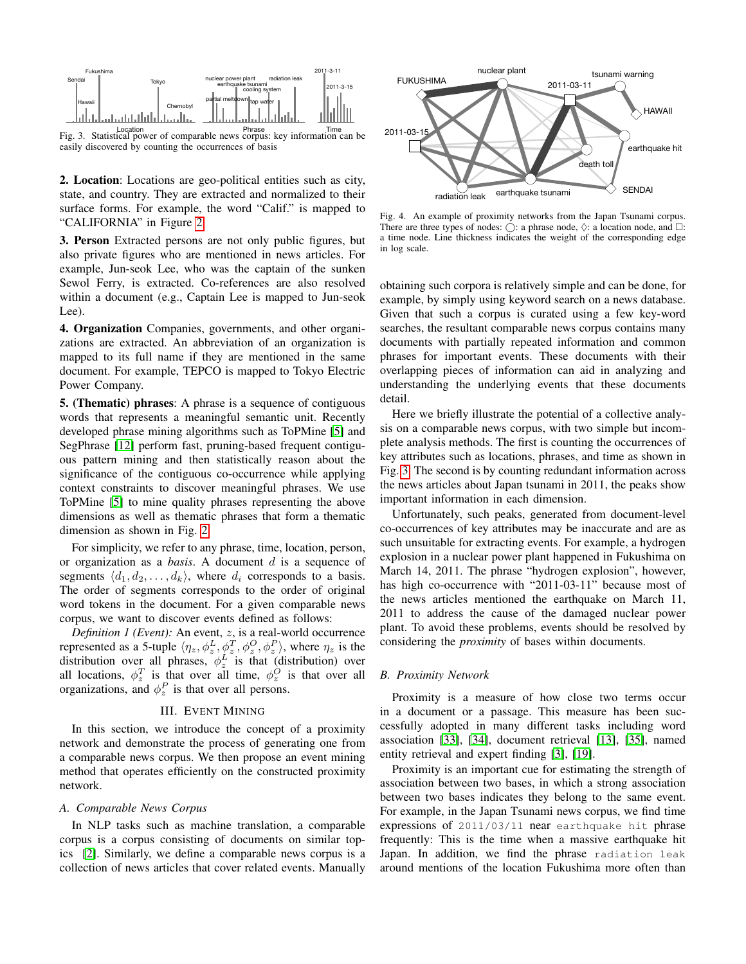

<span id="page-2-1"></span>Location Phrase Time Fig. 3. Statistical power of comparable news corpus: key information can be easily discovered by counting the occurrences of basis

2. Location: Locations are geo-political entities such as city, state, and country. They are extracted and normalized to their surface forms. For example, the word "Calif." is mapped to "CALIFORNIA" in Figure [2.](#page-1-2)

3. Person Extracted persons are not only public figures, but also private figures who are mentioned in news articles. For example, Jun-seok Lee, who was the captain of the sunken Sewol Ferry, is extracted. Co-references are also resolved within a document (e.g., Captain Lee is mapped to Jun-seok Lee).

4. Organization Companies, governments, and other organizations are extracted. An abbreviation of an organization is mapped to its full name if they are mentioned in the same document. For example, TEPCO is mapped to Tokyo Electric Power Company.

5. (Thematic) phrases: A phrase is a sequence of contiguous words that represents a meaningful semantic unit. Recently developed phrase mining algorithms such as ToPMine [\[5\]](#page-9-5) and SegPhrase [\[12\]](#page-9-15) perform fast, pruning-based frequent contiguous pattern mining and then statistically reason about the significance of the contiguous co-occurrence while applying context constraints to discover meaningful phrases. We use ToPMine [\[5\]](#page-9-5) to mine quality phrases representing the above dimensions as well as thematic phrases that form a thematic dimension as shown in Fig. [2.](#page-1-2)

For simplicity, we refer to any phrase, time, location, person, or organization as a *basis*. A document d is a sequence of segments  $\langle d_1, d_2, \ldots, d_k \rangle$ , where  $d_i$  corresponds to a basis. The order of segments corresponds to the order of original word tokens in the document. For a given comparable news corpus, we want to discover events defined as follows:

*Definition 1 (Event)*: An event, z, is a real-world occurrence represented as a 5-tuple  $\langle \eta_z, \phi_z^L, \phi_z^T, \phi_z^O, \phi_z^P \rangle$ , where  $\eta_z$  is the distribution over all phrases,  $\phi_z^L$  is that (distribution) over all locations,  $\phi_z^T$  is that over all time,  $\phi_z^O$  is that over all organizations, and  $\phi_z^P$  is that over all persons.

## III. EVENT MINING

<span id="page-2-0"></span>In this section, we introduce the concept of a proximity network and demonstrate the process of generating one from a comparable news corpus. We then propose an event mining method that operates efficiently on the constructed proximity network.

#### *A. Comparable News Corpus*

In NLP tasks such as machine translation, a comparable corpus is a corpus consisting of documents on similar topics [\[2\]](#page-9-16). Similarly, we define a comparable news corpus is a collection of news articles that cover related events. Manually



<span id="page-2-2"></span>Fig. 4. An example of proximity networks from the Japan Tsunami corpus. There are three types of nodes:  $\bigcirc$ : a phrase node,  $\Diamond$ : a location node, and  $\square$ : a time node. Line thickness indicates the weight of the corresponding edge in log scale.

obtaining such corpora is relatively simple and can be done, for example, by simply using keyword search on a news database. Given that such a corpus is curated using a few key-word searches, the resultant comparable news corpus contains many documents with partially repeated information and common phrases for important events. These documents with their overlapping pieces of information can aid in analyzing and understanding the underlying events that these documents detail.

Here we briefly illustrate the potential of a collective analysis on a comparable news corpus, with two simple but incomplete analysis methods. The first is counting the occurrences of key attributes such as locations, phrases, and time as shown in Fig. [3.](#page-2-1) The second is by counting redundant information across the news articles about Japan tsunami in 2011, the peaks show important information in each dimension.

Unfortunately, such peaks, generated from document-level co-occurrences of key attributes may be inaccurate and are as such unsuitable for extracting events. For example, a hydrogen explosion in a nuclear power plant happened in Fukushima on March 14, 2011. The phrase "hydrogen explosion", however, has high co-occurrence with "2011-03-11" because most of the news articles mentioned the earthquake on March 11, 2011 to address the cause of the damaged nuclear power plant. To avoid these problems, events should be resolved by considering the *proximity* of bases within documents.

### <span id="page-2-3"></span>*B. Proximity Network*

Proximity is a measure of how close two terms occur in a document or a passage. This measure has been successfully adopted in many different tasks including word association [\[33\]](#page-9-17), [\[34\]](#page-9-18), document retrieval [\[13\]](#page-9-19), [\[35\]](#page-9-20), named entity retrieval and expert finding [\[3\]](#page-9-21), [\[19\]](#page-9-22).

Proximity is an important cue for estimating the strength of association between two bases, in which a strong association between two bases indicates they belong to the same event. For example, in the Japan Tsunami news corpus, we find time expressions of 2011/03/11 near earthquake hit phrase frequently: This is the time when a massive earthquake hit Japan. In addition, we find the phrase radiation leak around mentions of the location Fukushima more often than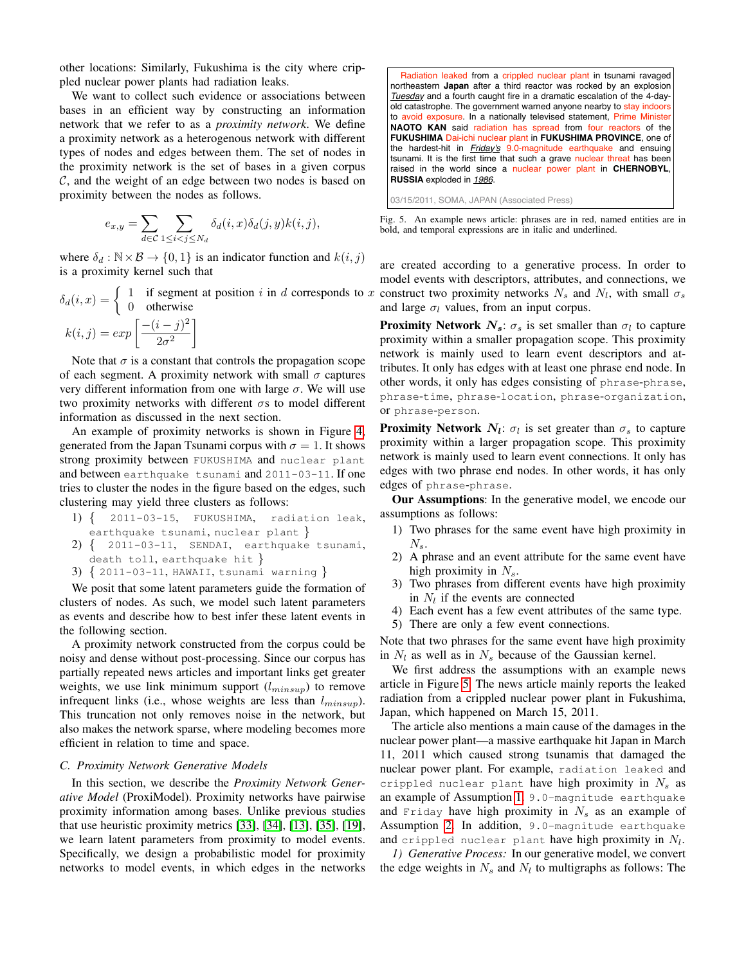other locations: Similarly, Fukushima is the city where crippled nuclear power plants had radiation leaks.

We want to collect such evidence or associations between bases in an efficient way by constructing an information network that we refer to as a *proximity network*. We define a proximity network as a heterogenous network with different types of nodes and edges between them. The set of nodes in the proximity network is the set of bases in a given corpus C, and the weight of an edge between two nodes is based on proximity between the nodes as follows.

$$
e_{x,y} = \sum_{d \in \mathcal{C}} \sum_{1 \leq i < j \leq N_d} \delta_d(i,x) \delta_d(j,y) k(i,j),
$$

where  $\delta_d : \mathbb{N} \times \mathcal{B} \to \{0, 1\}$  is an indicator function and  $k(i, j)$ is a proximity kernel such that

$$
\delta_d(i, x) = \begin{cases} 1 & \text{if segment at position } i \text{ in } d \text{ corresponds to } x \\ 0 & \text{otherwise} \end{cases}
$$

$$
k(i,j) = exp \left[ \frac{-(i-j)^2}{2\sigma^2} \right]
$$

Note that  $\sigma$  is a constant that controls the propagation scope of each segment. A proximity network with small  $\sigma$  captures very different information from one with large  $\sigma$ . We will use two proximity networks with different  $\sigma s$  to model different information as discussed in the next section.

An example of proximity networks is shown in Figure [4,](#page-2-2) generated from the Japan Tsunami corpus with  $\sigma = 1$ . It shows strong proximity between FUKUSHIMA and nuclear plant and between earthquake tsunami and 2011-03-11. If one tries to cluster the nodes in the figure based on the edges, such clustering may yield three clusters as follows:

- 1) { 2011-03-15, FUKUSHIMA, radiation leak, earthquake tsunami, nuclear plant }
- $2)$  { 2011-03-11, SENDAI, earthquake tsunami, death toll, earthquake hit }
- 3) { 2011-03-11, HAWAII, tsunami warning }

We posit that some latent parameters guide the formation of clusters of nodes. As such, we model such latent parameters as events and describe how to best infer these latent events in the following section.

A proximity network constructed from the corpus could be noisy and dense without post-processing. Since our corpus has partially repeated news articles and important links get greater weights, we use link minimum support  $(l_{minsup})$  to remove infrequent links (i.e., whose weights are less than  $l_{minsup}$ ). This truncation not only removes noise in the network, but also makes the network sparse, where modeling becomes more efficient in relation to time and space.

## *C. Proximity Network Generative Models*

In this section, we describe the *Proximity Network Generative Model* (ProxiModel). Proximity networks have pairwise proximity information among bases. Unlike previous studies that use heuristic proximity metrics [\[33\]](#page-9-17), [\[34\]](#page-9-18), [\[13\]](#page-9-19), [\[35\]](#page-9-20), [\[19\]](#page-9-22), we learn latent parameters from proximity to model events. Specifically, we design a probabilistic model for proximity networks to model events, in which edges in the networks

 Radiation leaked from a crippled nuclear plant in tsunami ravaged northeastern **Japan** after a third reactor was rocked by an explosion *Tuesday* and a fourth caught fire in a dramatic escalation of the 4-dayold catastrophe. The government warned anyone nearby to stay indoors to avoid exposure. In a nationally televised statement, Prime Minister **NAOTO KAN** said radiation has spread from four reactors of the **FUKUSHIMA** Dai-ichi nuclear plant in **FUKUSHIMA PROVINCE**, one of the hardest-hit in *Friday's* 9.0-magnitude earthquake and ensuing tsunami. It is the first time that such a grave nuclear threat has been raised in the world since a nuclear power plant in **CHERNOBYL**, **RUSSIA** exploded in *1986*.

<span id="page-3-0"></span>03/15/2011, SOMA, JAPAN (Associated Press)

Fig. 5. An example news article: phrases are in red, named entities are in bold, and temporal expressions are in italic and underlined.

are created according to a generative process. In order to model events with descriptors, attributes, and connections, we construct two proximity networks  $N_s$  and  $N_l$ , with small  $\sigma_s$ and large  $\sigma_l$  values, from an input corpus.

**Proximity Network**  $N_s$ :  $\sigma_s$  is set smaller than  $\sigma_l$  to capture proximity within a smaller propagation scope. This proximity network is mainly used to learn event descriptors and attributes. It only has edges with at least one phrase end node. In other words, it only has edges consisting of phrase-phrase, phrase-time, phrase-location, phrase-organization, or phrase-person.

**Proximity Network**  $N_l$ :  $\sigma_l$  is set greater than  $\sigma_s$  to capture proximity within a larger propagation scope. This proximity network is mainly used to learn event connections. It only has edges with two phrase end nodes. In other words, it has only edges of phrase-phrase.

Our Assumptions: In the generative model, we encode our assumptions as follows:

- <span id="page-3-1"></span>1) Two phrases for the same event have high proximity in  $N_{s}$ .
- <span id="page-3-2"></span>2) A phrase and an event attribute for the same event have high proximity in  $N_s$ .
- <span id="page-3-3"></span>3) Two phrases from different events have high proximity in  $N_l$  if the events are connected
- 4) Each event has a few event attributes of the same type.
- 5) There are only a few event connections.

Note that two phrases for the same event have high proximity in  $N_l$  as well as in  $N_s$  because of the Gaussian kernel.

We first address the assumptions with an example news article in Figure [5.](#page-3-0) The news article mainly reports the leaked radiation from a crippled nuclear power plant in Fukushima, Japan, which happened on March 15, 2011.

The article also mentions a main cause of the damages in the nuclear power plant—a massive earthquake hit Japan in March 11, 2011 which caused strong tsunamis that damaged the nuclear power plant. For example, radiation leaked and crippled nuclear plant have high proximity in  $N_s$  as an example of Assumption [1.](#page-3-1) 9.0-magnitude earthquake and Friday have high proximity in  $N_s$  as an example of Assumption [2.](#page-3-2) In addition, 9.0-magnitude earthquake and crippled nuclear plant have high proximity in  $N_l.$ 

*1) Generative Process:* In our generative model, we convert the edge weights in  $N_s$  and  $N_l$  to multigraphs as follows: The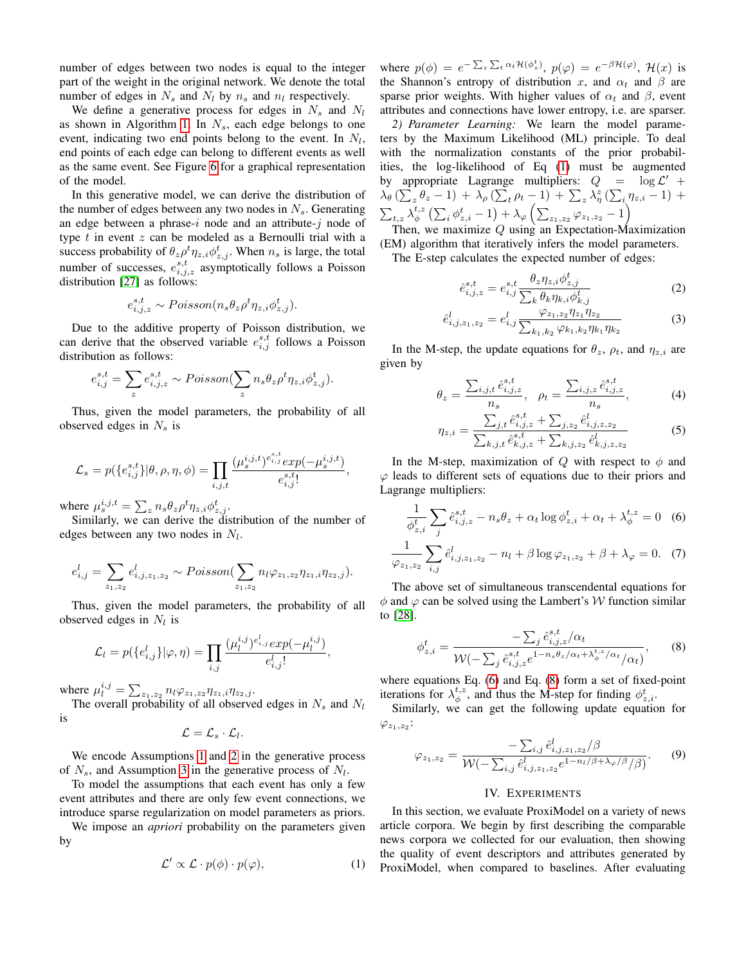number of edges between two nodes is equal to the integer part of the weight in the original network. We denote the total number of edges in  $N_s$  and  $N_l$  by  $n_s$  and  $n_l$  respectively.

We define a generative process for edges in  $N_s$  and  $N_l$ as shown in Algorithm [1.](#page-5-0) In  $N_s$ , each edge belongs to one event, indicating two end points belong to the event. In  $N_l$ , end points of each edge can belong to different events as well as the same event. See Figure [6](#page-5-1) for a graphical representation of the model.

In this generative model, we can derive the distribution of the number of edges between any two nodes in  $N_s$ . Generating an edge between a phrase-i node and an attribute-j node of type  $t$  in event  $z$  can be modeled as a Bernoulli trial with a success probability of  $\theta_z \rho^t \eta_{z,i} \phi^t_{z,j}$ . When  $n_s$  is large, the total number of successes,  $e_{i,j,z}^{s,t}$  asymptotically follows a Poisson distribution [\[27\]](#page-9-23) as follows:

$$
e_{i,j,z}^{s,t} \sim Poisson(n_s \theta_z \rho^t \eta_{z,i} \phi_{z,j}^t).
$$

Due to the additive property of Poisson distribution, we can derive that the observed variable  $e_{i,j}^{s,t}$  follows a Poisson distribution as follows:

$$
e_{i,j}^{s,t} = \sum_{z} e_{i,j,z}^{s,t} \sim Poisson(\sum_{z} n_s \theta_z \rho^t \eta_{z,i} \phi_{z,j}^t).
$$

Thus, given the model parameters, the probability of all observed edges in  $N_s$  is

$$
\mathcal{L}_s = p(\{e_{i,j}^{s,t}\}|\theta, \rho, \eta, \phi) = \prod_{i,j,t} \frac{(\mu_s^{i,j,t})^{e_{i,j}^{s,t}} exp(-\mu_s^{i,j,t})}{e_{i,j}^{s,t}!},
$$

where  $\mu_s^{i,j,t} = \sum_z n_s \theta_z \rho^t \eta_{z,i} \phi_{z,j}^t$ .

Similarly, we can derive the distribution of the number of edges between any two nodes in  $N_l$ .

$$
e_{i,j}^l = \sum_{z_1,z_2} e_{i,j,z_1,z_2}^l \sim Poisson(\sum_{z_1,z_2} n_l \varphi_{z_1,z_2} \eta_{z_1,i} \eta_{z_2,j}).
$$

Thus, given the model parameters, the probability of all observed edges in  $N_l$  is

$$
\mathcal{L}_l = p(\{e_{i,j}^l\}|\varphi, \eta) = \prod_{i,j} \frac{(\mu_l^{i,j})^{e_{i,j}^l} exp(-\mu_l^{i,j})}{e_{i,j}^l},
$$

where  $\mu_l^{i,j} = \sum_{z_1, z_2} n_l \varphi_{z_1, z_2} \eta_{z_1, i} \eta_{z_2, j}$ .

The overall probability of all observed edges in  $N_s$  and  $N_l$ is

 $\mathcal{L} = \mathcal{L}_s \cdot \mathcal{L}_l.$ 

We encode Assumptions [1](#page-3-1) and [2](#page-3-2) in the generative process of  $N_s$ , and Assumption [3](#page-3-3) in the generative process of  $N_l$ .

To model the assumptions that each event has only a few event attributes and there are only few event connections, we introduce sparse regularization on model parameters as priors.

We impose an *apriori* probability on the parameters given by

$$
\mathcal{L}' \propto \mathcal{L} \cdot p(\phi) \cdot p(\varphi), \tag{1}
$$

where  $p(\phi) = e^{-\sum_z \sum_t \alpha_t \mathcal{H}(\phi_z^t)}, p(\varphi) = e^{-\beta \mathcal{H}(\varphi)}, \mathcal{H}(x)$  is the Shannon's entropy of distribution x, and  $\alpha_t$  and  $\beta$  are sparse prior weights. With higher values of  $\alpha_t$  and  $\beta$ , event attributes and connections have lower entropy, i.e. are sparser.

*2) Parameter Learning:* We learn the model parameters by the Maximum Likelihood (ML) principle. To deal with the normalization constants of the prior probabilities, the log-likelihood of Eq [\(1\)](#page-4-1) must be augmented by appropriate Lagrange multipliers:  $Q = \log \mathcal{L}' +$  $\lambda_{\theta} \left( \sum_{z} \theta_{z} - 1 \right) + \lambda_{\rho} \left( \sum_{t} \rho_{t} - 1 \right) + \sum_{z} \lambda_{\eta}^{z} \left( \sum_{i} \eta_{z,i} - 1 \right) +$  $\sum_{t,z}\lambda_\phi^{t,z}\left(\sum_i\phi_{z,i}^t-1\right)+\lambda_\varphi\left(\sum_{z_1,z_2}\varphi_{z_1,z_2}-1\right)$ 

Then, we maximize  $Q$  using an Expectation-Maximization (EM) algorithm that iteratively infers the model parameters.

The E-step calculates the expected number of edges:

$$
\hat{e}_{i,j,z}^{s,t} = e_{i,j}^{s,t} \frac{\theta_z \eta_{z,i} \phi_{z,j}^t}{\sum_k \theta_k \eta_{k,i} \phi_{k,j}^t}
$$
(2)

$$
\hat{e}_{i,j,z_1,z_2}^l = e_{i,j}^l \frac{\varphi_{z_1,z_2} \eta_{z_1} \eta_{z_2}}{\sum_{k_1,k_2} \varphi_{k_1,k_2} \eta_{k_1} \eta_{k_2}}
$$
(3)

In the M-step, the update equations for  $\theta_z$ ,  $\rho_t$ , and  $\eta_{z,i}$  are given by

$$
\theta_z = \frac{\sum_{i,j,t} \hat{e}_{i,j,z}^{s,t}}{n_s}, \quad \rho_t = \frac{\sum_{i,j,z} \hat{e}_{i,j,z}^{s,t}}{n_s}, \tag{4}
$$

<span id="page-4-2"></span>
$$
\eta_{z,i} = \frac{\sum_{j,t} \hat{e}_{i,j,z}^{s,t} + \sum_{j,z_2} \hat{e}_{i,j,z,z_2}^l}{\sum_{k,j,t} \hat{e}_{k,j,z}^{s,t} + \sum_{k,j,z_2} \hat{e}_{k,j,z,z_2}^l}
$$
(5)

In the M-step, maximization of Q with respect to  $\phi$  and  $\varphi$  leads to different sets of equations due to their priors and Lagrange multipliers:

$$
\frac{1}{\phi_{z,i}^t} \sum_j \hat{e}_{i,j,z}^{s,t} - n_s \theta_z + \alpha_t \log \phi_{z,i}^t + \alpha_t + \lambda_{\phi}^{t,z} = 0 \quad (6)
$$

$$
\frac{1}{\varphi_{z_1, z_2}} \sum_{i,j} \hat{e}_{i,j,z_1,z_2}^l - n_l + \beta \log \varphi_{z_1, z_2} + \beta + \lambda_\varphi = 0. \tag{7}
$$

The above set of simultaneous transcendental equations for  $\phi$  and  $\varphi$  can be solved using the Lambert's W function similar to [\[28\]](#page-9-24).

$$
\phi_{z,i}^t = \frac{-\sum_j \hat{e}_{i,j,z}^{s,t}/\alpha_t}{\mathcal{W}(-\sum_j \hat{e}_{i,j,z}^{s,t} e^{1-n_s\theta_z/\alpha_t + \lambda_{\phi}^{t,z}/\alpha_t}/\alpha_t)},\qquad(8)
$$

where equations Eq. [\(6\)](#page-4-2) and Eq. [\(8\)](#page-4-3) form a set of fixed-point iterations for  $\lambda_{\phi}^{t,z}$ , and thus the M-step for finding  $\phi_{z,i}^{t}$ .

Similarly, we can get the following update equation for  $\varphi_{z_1,z_2}$ :

$$
\varphi_{z_1, z_2} = \frac{-\sum_{i,j} \hat{e}_{i,j,z_1,z_2}^l/\beta}{\mathcal{W}(-\sum_{i,j} \hat{e}_{i,j,z_1,z_2}^l e^{1 - n_l/\beta + \lambda_\varphi/\beta}/\beta)}.
$$
(9)

### <span id="page-4-3"></span>IV. EXPERIMENTS

<span id="page-4-1"></span><span id="page-4-0"></span>In this section, we evaluate ProxiModel on a variety of news article corpora. We begin by first describing the comparable news corpora we collected for our evaluation, then showing the quality of event descriptors and attributes generated by ProxiModel, when compared to baselines. After evaluating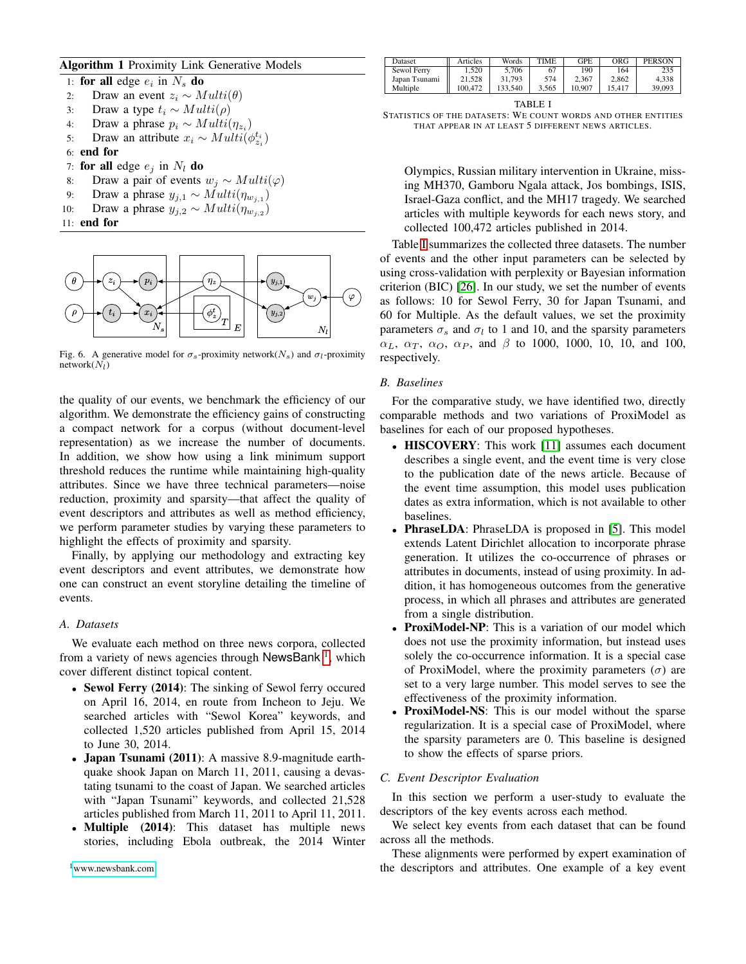## <span id="page-5-0"></span>Algorithm 1 Proximity Link Generative Models

1: for all edge  $e_i$  in  $N_s$  do 2: Draw an event  $z_i \sim Multi(\theta)$ 3: Draw a type  $t_i$  ∼  $Multi(\rho)$ 4: Draw a phrase  $p_i \sim Multi(\eta_{z_i})$ 5: Draw an attribute  $x_i \sim Multi(\phi_{z_i}^{t_i})$ 6: end for 7: for all edge  $e_i$  in  $N_l$  do 8: Draw a pair of events  $w_j \sim Multi(\varphi)$ 9: Draw a phrase  $y_{j,1} \sim Multi(\eta_{w_{j,1}})$ 10: Draw a phrase  $y_{j,2} \sim Multi(\eta_{w_{j,2}})$ 11: end for



<span id="page-5-1"></span>Fig. 6. A generative model for  $\sigma_s$ -proximity network $(N_s)$  and  $\sigma_l$ -proximity  $network(N_l)$ 

the quality of our events, we benchmark the efficiency of our algorithm. We demonstrate the efficiency gains of constructing a compact network for a corpus (without document-level representation) as we increase the number of documents. In addition, we show how using a link minimum support threshold reduces the runtime while maintaining high-quality attributes. Since we have three technical parameters—noise reduction, proximity and sparsity—that affect the quality of event descriptors and attributes as well as method efficiency, we perform parameter studies by varying these parameters to highlight the effects of proximity and sparsity.

Finally, by applying our methodology and extracting key event descriptors and event attributes, we demonstrate how one can construct an event storyline detailing the timeline of events.

# *A. Datasets*

We evaluate each method on three news corpora, collected from a variety of news agencies through NewsBank<sup>[1](#page-5-2)</sup>, which cover different distinct topical content.

- Sewol Ferry (2014): The sinking of Sewol ferry occured on April 16, 2014, en route from Incheon to Jeju. We searched articles with "Sewol Korea" keywords, and collected 1,520 articles published from April 15, 2014 to June 30, 2014.
- Japan Tsunami (2011): A massive 8.9-magnitude earthquake shook Japan on March 11, 2011, causing a devastating tsunami to the coast of Japan. We searched articles with "Japan Tsunami" keywords, and collected 21,528 articles published from March 11, 2011 to April 11, 2011.
- <span id="page-5-2"></span>• Multiple (2014): This dataset has multiple news stories, including Ebola outbreak, the 2014 Winter

| Dataset       | Articles | Words   | TIME  | <b>GPE</b> | ORG    | <b>PERSON</b> |
|---------------|----------|---------|-------|------------|--------|---------------|
| Sewol Ferry   | 1.520    | 5.706   | 67    | 190        | 164    |               |
| Japan Tsunami | 21.528   | 31.793  | 574   | 2.367      | 2.862  | 4.338         |
| Multiple      | 100.472  | 133.540 | 3.565 | 10.907     | 15.417 | 39,093        |

TABLE I

<span id="page-5-3"></span>STATISTICS OF THE DATASETS: WE COUNT WORDS AND OTHER ENTITIES THAT APPEAR IN AT LEAST 5 DIFFERENT NEWS ARTICLES.

Olympics, Russian military intervention in Ukraine, missing MH370, Gamboru Ngala attack, Jos bombings, ISIS, Israel-Gaza conflict, and the MH17 tragedy. We searched articles with multiple keywords for each news story, and collected 100,472 articles published in 2014.

Table [I](#page-5-3) summarizes the collected three datasets. The number of events and the other input parameters can be selected by using cross-validation with perplexity or Bayesian information criterion (BIC) [\[26\]](#page-9-25). In our study, we set the number of events as follows: 10 for Sewol Ferry, 30 for Japan Tsunami, and 60 for Multiple. As the default values, we set the proximity parameters  $\sigma_s$  and  $\sigma_l$  to 1 and 10, and the sparsity parameters  $\alpha_L$ ,  $\alpha_T$ ,  $\alpha_Q$ ,  $\alpha_P$ , and  $\beta$  to 1000, 1000, 10, 10, and 100, respectively.

## *B. Baselines*

For the comparative study, we have identified two, directly comparable methods and two variations of ProxiModel as baselines for each of our proposed hypotheses.

- **HISCOVERY**: This work [\[11\]](#page-9-0) assumes each document describes a single event, and the event time is very close to the publication date of the news article. Because of the event time assumption, this model uses publication dates as extra information, which is not available to other baselines.
- **PhraseLDA**: PhraseLDA is proposed in [\[5\]](#page-9-5). This model extends Latent Dirichlet allocation to incorporate phrase generation. It utilizes the co-occurrence of phrases or attributes in documents, instead of using proximity. In addition, it has homogeneous outcomes from the generative process, in which all phrases and attributes are generated from a single distribution.
- ProxiModel-NP: This is a variation of our model which does not use the proximity information, but instead uses solely the co-occurrence information. It is a special case of ProxiModel, where the proximity parameters  $(\sigma)$  are set to a very large number. This model serves to see the effectiveness of the proximity information.
- ProxiModel-NS: This is our model without the sparse regularization. It is a special case of ProxiModel, where the sparsity parameters are 0. This baseline is designed to show the effects of sparse priors.

# *C. Event Descriptor Evaluation*

In this section we perform a user-study to evaluate the descriptors of the key events across each method.

We select key events from each dataset that can be found across all the methods.

These alignments were performed by expert examination of the descriptors and attributes. One example of a key event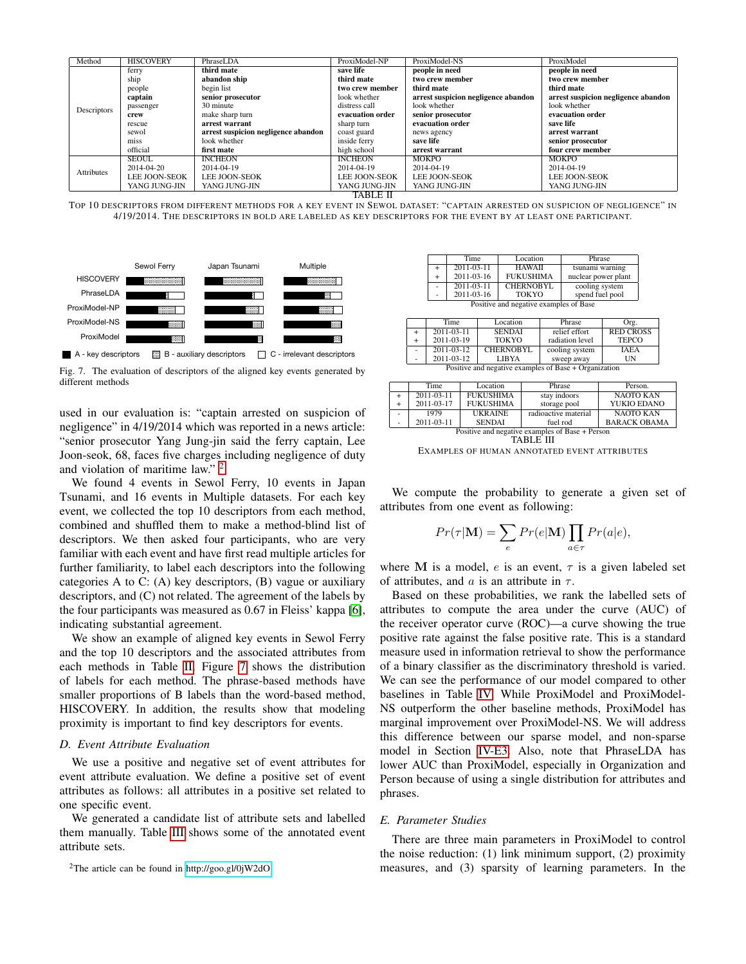| Method      | <b>HISCOVERY</b> | PhraseLDA                           | ProxiModel-NP        | ProxiModel-NS                       | ProxiModel                          |  |
|-------------|------------------|-------------------------------------|----------------------|-------------------------------------|-------------------------------------|--|
|             | ferry            | third mate                          | save life            | people in need                      | people in need                      |  |
|             | ship             | abandon ship                        | third mate           | two crew member                     | two crew member                     |  |
|             | people           | begin list                          | two crew member      | third mate                          | third mate                          |  |
|             | captain          | senior prosecutor                   | look whether         | arrest suspicion negligence abandon | arrest suspicion negligence abandon |  |
| Descriptors | passenger        | 30 minute                           | distress call        | look whether                        | look whether                        |  |
|             | crew             | make sharp turn                     | evacuation order     | senior prosecutor                   | evacuation order                    |  |
|             | rescue           | arrest warrant                      | sharp turn           | evacuation order                    | save life                           |  |
|             | sewol            | arrest suspicion negligence abandon | coast guard          | news agency                         | arrest warrant                      |  |
|             | miss             | look whether                        | inside ferry         | save life                           | senior prosecutor                   |  |
|             | official         | first mate                          | high school          | arrest warrant                      | four crew member                    |  |
|             | <b>SEOUL</b>     | <b>INCHEON</b>                      | <b>INCHEON</b>       | <b>MOKPO</b>                        | <b>MOKPO</b>                        |  |
| Attributes  | 2014-04-20       | 2014-04-19                          | 2014-04-19           | 2014-04-19                          | 2014-04-19                          |  |
|             | LEE JOON-SEOK    | <b>LEE JOON-SEOK</b>                | <b>LEE JOON-SEOK</b> | <b>LEE JOON-SEOK</b>                | <b>LEE JOON-SEOK</b>                |  |
|             | YANG JUNG-JIN    | YANG JUNG-JIN                       | YANG JUNG-JIN        | YANG JUNG-JIN                       | YANG JUNG-JIN                       |  |
|             | TABLE II         |                                     |                      |                                     |                                     |  |

<span id="page-6-1"></span>



<span id="page-6-2"></span>Fig. 7. The evaluation of descriptors of the aligned key events generated by different methods

used in our evaluation is: "captain arrested on suspicion of negligence" in 4/19/2014 which was reported in a news article: "senior prosecutor Yang Jung-jin said the ferry captain, Lee Joon-seok, 68, faces five charges including negligence of duty and violation of maritime law." [2](#page-6-0)

We found 4 events in Sewol Ferry, 10 events in Japan Tsunami, and 16 events in Multiple datasets. For each key event, we collected the top 10 descriptors from each method, combined and shuffled them to make a method-blind list of descriptors. We then asked four participants, who are very familiar with each event and have first read multiple articles for further familiarity, to label each descriptors into the following categories A to C: (A) key descriptors, (B) vague or auxiliary descriptors, and (C) not related. The agreement of the labels by the four participants was measured as 0.67 in Fleiss' kappa [\[6\]](#page-9-26), indicating substantial agreement.

We show an example of aligned key events in Sewol Ferry and the top 10 descriptors and the associated attributes from each methods in Table [II.](#page-6-1) Figure [7](#page-6-2) shows the distribution of labels for each method. The phrase-based methods have smaller proportions of B labels than the word-based method, HISCOVERY. In addition, the results show that modeling proximity is important to find key descriptors for events.

#### <span id="page-6-4"></span>*D. Event Attribute Evaluation*

We use a positive and negative set of event attributes for event attribute evaluation. We define a positive set of event attributes as follows: all attributes in a positive set related to one specific event.

We generated a candidate list of attribute sets and labelled them manually. Table [III](#page-6-3) shows some of the annotated event attribute sets.

<span id="page-6-0"></span><sup>2</sup>The article can be found in<http://goo.gl/0jW2dO>

|                          | Time                                          | Location         | Phrase              |  |  |  |
|--------------------------|-----------------------------------------------|------------------|---------------------|--|--|--|
|                          | $2011 - 03 - 11$                              | <b>HAWAII</b>    | tsunami warning     |  |  |  |
| $\ddot{}$                | 2011-03-16                                    | <b>FUKUSHIMA</b> | nuclear power plant |  |  |  |
| $\overline{\phantom{a}}$ | $2011 - 03 - 11$                              | <b>CHERNOBYL</b> | cooling system      |  |  |  |
| $\overline{\phantom{a}}$ | 2011-03-16<br>spend fuel pool<br><b>TOKYO</b> |                  |                     |  |  |  |
|                          | Positive and negative examples of Base        |                  |                     |  |  |  |

|   | Time                                                  | Location      | Phrase          | Org.             |  |  |  |
|---|-------------------------------------------------------|---------------|-----------------|------------------|--|--|--|
|   | $2011 - 03 - 11$                                      | <b>SENDAI</b> | relief effort   | <b>RED CROSS</b> |  |  |  |
|   | 2011-03-19                                            | <b>TOKYO</b>  | radiation level | <b>TEPCO</b>     |  |  |  |
| ۰ | <b>CHERNOBYL</b><br>$2011 - 03 - 12$                  |               | cooling system  | <b>TAEA</b>      |  |  |  |
| ۰ | 2011-03-12<br>UN<br><b>LIBYA</b><br>sweep away        |               |                 |                  |  |  |  |
|   | Positive and negative examples of Base + Organization |               |                 |                  |  |  |  |

|                          | Time                                            | Location         | Phrase               | Person.             |  |  |  |
|--------------------------|-------------------------------------------------|------------------|----------------------|---------------------|--|--|--|
| $+$                      | $2011 - 03 - 11$                                | <b>FUKUSHIMA</b> | stay indoors         | <b>NAOTO KAN</b>    |  |  |  |
| $+$                      | 2011-03-17                                      | <b>FUKUSHIMA</b> | storage pool         | YUKIO EDANO         |  |  |  |
| $\overline{\phantom{a}}$ | 1979                                            | <b>UKRAINE</b>   | radioactive material | <b>NAOTO KAN</b>    |  |  |  |
| ۰                        | $2011 - 03 - 11$                                | <b>SENDAI</b>    | fuel rod             | <b>BARACK OBAMA</b> |  |  |  |
|                          | Positive and negative examples of Base + Person |                  |                      |                     |  |  |  |

<span id="page-6-3"></span>TABLE III EXAMPLES OF HUMAN ANNOTATED EVENT ATTRIBUTES

We compute the probability to generate a given set of attributes from one event as following:

$$
Pr(\tau | \mathbf{M}) = \sum_{e} Pr(e | \mathbf{M}) \prod_{a \in \tau} Pr(a | e),
$$

where M is a model, e is an event,  $\tau$  is a given labeled set of attributes, and a is an attribute in  $\tau$ .

Based on these probabilities, we rank the labelled sets of attributes to compute the area under the curve (AUC) of the receiver operator curve (ROC)—a curve showing the true positive rate against the false positive rate. This is a standard measure used in information retrieval to show the performance of a binary classifier as the discriminatory threshold is varied. We can see the performance of our model compared to other baselines in Table [IV.](#page-7-0) While ProxiModel and ProxiModel-NS outperform the other baseline methods, ProxiModel has marginal improvement over ProxiModel-NS. We will address this difference between our sparse model, and non-sparse model in Section [IV-E3.](#page-7-1) Also, note that PhraseLDA has lower AUC than ProxiModel, especially in Organization and Person because of using a single distribution for attributes and phrases.

#### *E. Parameter Studies*

There are three main parameters in ProxiModel to control the noise reduction: (1) link minimum support, (2) proximity measures, and (3) sparsity of learning parameters. In the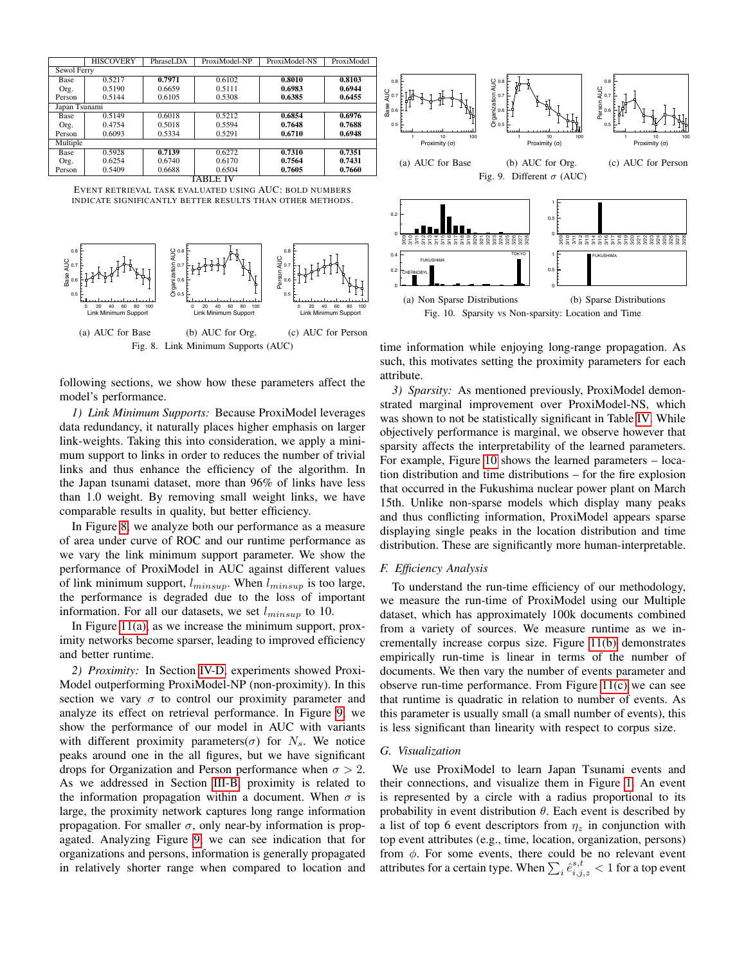|               | <b>HISCOVERY</b> | PhraseLDA | ProxiModel-NP | ProxiModel-NS | ProxiModel |  |
|---------------|------------------|-----------|---------------|---------------|------------|--|
| Sewol Ferry   |                  |           |               |               |            |  |
| Base          | 0.5217           | 0.7971    | 0.6102        | 0.8010        | 0.8103     |  |
| Org.          | 0.5190           | 0.6659    | 0.5111        | 0.6983        | 0.6944     |  |
| Person        | 0.5144           | 0.6105    | 0.5308        | 0.6385        | 0.6455     |  |
| Japan Tsunami |                  |           |               |               |            |  |
| Base          | 0.5149           | 0.6018    | 0.5212        | 0.6854        | 0.6976     |  |
| Org.          | 0.4754           | 0.5018    | 0.5594        | 0.7648        | 0.7688     |  |
| Person        | 0.6093           | 0.5334    | 0.5291        | 0.6710        | 0.6948     |  |
| Multiple      |                  |           |               |               |            |  |
| <b>Base</b>   | 0.5928           | 0.7139    | 0.6272        | 0.7310        | 0.7351     |  |
| Org.          | 0.6254           | 0.6740    | 0.6170        | 0.7564        | 0.7431     |  |
| Person        | 0.5409           | 0.6688    | 0.6504        | 0.7605        | 0.7660     |  |
| <b>TABLE</b>  |                  |           |               |               |            |  |

<span id="page-7-0"></span>EVENT RETRIEVAL TASK EVALUATED USING AUC: BOLD NUMBERS INDICATE SIGNIFICANTLY BETTER RESULTS THAN OTHER METHODS.



<span id="page-7-2"></span>following sections, we show how these parameters affect the model's performance.

*1) Link Minimum Supports:* Because ProxiModel leverages data redundancy, it naturally places higher emphasis on larger link-weights. Taking this into consideration, we apply a minimum support to links in order to reduces the number of trivial links and thus enhance the efficiency of the algorithm. In the Japan tsunami dataset, more than 96% of links have less than 1.0 weight. By removing small weight links, we have comparable results in quality, but better efficiency.

In Figure [8,](#page-7-2) we analyze both our performance as a measure of area under curve of ROC and our runtime performance as we vary the link minimum support parameter. We show the performance of ProxiModel in AUC against different values of link minimum support,  $l_{minsup}$ . When  $l_{minsup}$  is too large, the performance is degraded due to the loss of important information. For all our datasets, we set  $l_{minsup}$  to 10.

In Figure  $11(a)$ , as we increase the minimum support, proximity networks become sparser, leading to improved efficiency and better runtime.

*2) Proximity:* In Section [IV-D,](#page-6-4) experiments showed Proxi-Model outperforming ProxiModel-NP (non-proximity). In this section we vary  $\sigma$  to control our proximity parameter and analyze its effect on retrieval performance. In Figure [9,](#page-7-3) we show the performance of our model in AUC with variants with different proximity parameters( $\sigma$ ) for  $N_s$ . We notice peaks around one in the all figures, but we have significant drops for Organization and Person performance when  $\sigma > 2$ . As we addressed in Section [III-B,](#page-2-3) proximity is related to the information propagation within a document. When  $\sigma$  is large, the proximity network captures long range information propagation. For smaller  $\sigma$ , only near-by information is propagated. Analyzing Figure [9,](#page-7-3) we can see indication that for organizations and persons, information is generally propagated in relatively shorter range when compared to location and

<span id="page-7-3"></span>

<span id="page-7-4"></span>Fig. 10. Sparsity vs Non-sparsity: Location and Time

time information while enjoying long-range propagation. As such, this motivates setting the proximity parameters for each attribute.

<span id="page-7-1"></span>*3) Sparsity:* As mentioned previously, ProxiModel demonstrated marginal improvement over ProxiModel-NS, which was shown to not be statistically significant in Table [IV.](#page-7-0) While objectively performance is marginal, we observe however that sparsity affects the interpretability of the learned parameters. For example, Figure [10](#page-7-4) shows the learned parameters – location distribution and time distributions – for the fire explosion that occurred in the Fukushima nuclear power plant on March 15th. Unlike non-sparse models which display many peaks and thus conflicting information, ProxiModel appears sparse displaying single peaks in the location distribution and time distribution. These are significantly more human-interpretable.

# *F. Efficiency Analysis*

To understand the run-time efficiency of our methodology, we measure the run-time of ProxiModel using our Multiple dataset, which has approximately 100k documents combined from a variety of sources. We measure runtime as we incrementally increase corpus size. Figure [11\(b\)](#page-8-3) demonstrates empirically run-time is linear in terms of the number of documents. We then vary the number of events parameter and observe run-time performance. From Figure [11\(c\)](#page-8-4) we can see that runtime is quadratic in relation to number of events. As this parameter is usually small (a small number of events), this is less significant than linearity with respect to corpus size.

# *G. Visualization*

We use ProxiModel to learn Japan Tsunami events and their connections, and visualize them in Figure [1.](#page-1-0) An event is represented by a circle with a radius proportional to its probability in event distribution  $\theta$ . Each event is described by a list of top 6 event descriptors from  $\eta_z$  in conjunction with top event attributes (e.g., time, location, organization, persons) from  $\phi$ . For some events, there could be no relevant event attributes for a certain type. When  $\sum_i \hat{e}^{s,t}_{i,j,z} < 1$  for a top event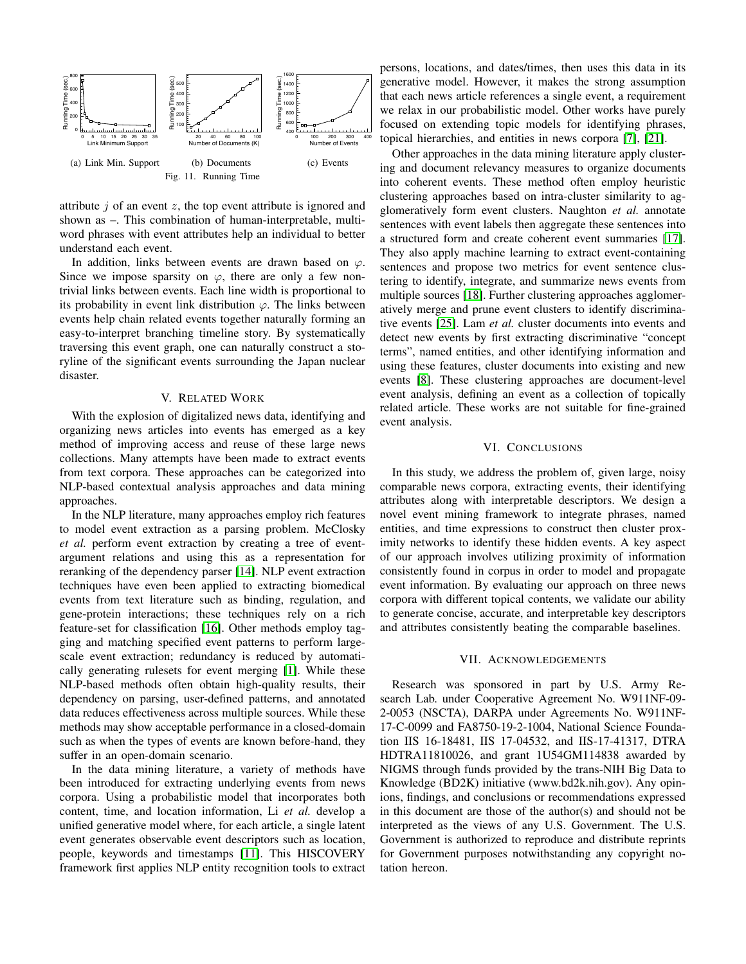

<span id="page-8-3"></span><span id="page-8-2"></span>attribute  $j$  of an event  $z$ , the top event attribute is ignored and shown as –. This combination of human-interpretable, multiword phrases with event attributes help an individual to better understand each event.

In addition, links between events are drawn based on  $\varphi$ . Since we impose sparsity on  $\varphi$ , there are only a few nontrivial links between events. Each line width is proportional to its probability in event link distribution  $\varphi$ . The links between events help chain related events together naturally forming an easy-to-interpret branching timeline story. By systematically traversing this event graph, one can naturally construct a storyline of the significant events surrounding the Japan nuclear disaster.

## V. RELATED WORK

<span id="page-8-0"></span>With the explosion of digitalized news data, identifying and organizing news articles into events has emerged as a key method of improving access and reuse of these large news collections. Many attempts have been made to extract events from text corpora. These approaches can be categorized into NLP-based contextual analysis approaches and data mining approaches.

In the NLP literature, many approaches employ rich features to model event extraction as a parsing problem. McClosky *et al.* perform event extraction by creating a tree of eventargument relations and using this as a representation for reranking of the dependency parser [\[14\]](#page-9-27). NLP event extraction techniques have even been applied to extracting biomedical events from text literature such as binding, regulation, and gene-protein interactions; these techniques rely on a rich feature-set for classification [\[16\]](#page-9-28). Other methods employ tagging and matching specified event patterns to perform largescale event extraction; redundancy is reduced by automatically generating rulesets for event merging [\[1\]](#page-9-29). While these NLP-based methods often obtain high-quality results, their dependency on parsing, user-defined patterns, and annotated data reduces effectiveness across multiple sources. While these methods may show acceptable performance in a closed-domain such as when the types of events are known before-hand, they suffer in an open-domain scenario.

In the data mining literature, a variety of methods have been introduced for extracting underlying events from news corpora. Using a probabilistic model that incorporates both content, time, and location information, Li *et al.* develop a unified generative model where, for each article, a single latent event generates observable event descriptors such as location, people, keywords and timestamps [\[11\]](#page-9-0). This HISCOVERY framework first applies NLP entity recognition tools to extract

persons, locations, and dates/times, then uses this data in its generative model. However, it makes the strong assumption that each news article references a single event, a requirement we relax in our probabilistic model. Other works have purely focused on extending topic models for identifying phrases, topical hierarchies, and entities in news corpora [\[7\]](#page-9-30), [\[21\]](#page-9-31).

<span id="page-8-4"></span>Other approaches in the data mining literature apply clustering and document relevancy measures to organize documents into coherent events. These method often employ heuristic clustering approaches based on intra-cluster similarity to agglomeratively form event clusters. Naughton *et al.* annotate sentences with event labels then aggregate these sentences into a structured form and create coherent event summaries [\[17\]](#page-9-32). They also apply machine learning to extract event-containing sentences and propose two metrics for event sentence clustering to identify, integrate, and summarize news events from multiple sources [\[18\]](#page-9-33). Further clustering approaches agglomeratively merge and prune event clusters to identify discriminative events [\[25\]](#page-9-34). Lam *et al.* cluster documents into events and detect new events by first extracting discriminative "concept terms", named entities, and other identifying information and using these features, cluster documents into existing and new events [\[8\]](#page-9-35). These clustering approaches are document-level event analysis, defining an event as a collection of topically related article. These works are not suitable for fine-grained event analysis.

## VI. CONCLUSIONS

<span id="page-8-1"></span>In this study, we address the problem of, given large, noisy comparable news corpora, extracting events, their identifying attributes along with interpretable descriptors. We design a novel event mining framework to integrate phrases, named entities, and time expressions to construct then cluster proximity networks to identify these hidden events. A key aspect of our approach involves utilizing proximity of information consistently found in corpus in order to model and propagate event information. By evaluating our approach on three news corpora with different topical contents, we validate our ability to generate concise, accurate, and interpretable key descriptors and attributes consistently beating the comparable baselines.

#### VII. ACKNOWLEDGEMENTS

Research was sponsored in part by U.S. Army Research Lab. under Cooperative Agreement No. W911NF-09- 2-0053 (NSCTA), DARPA under Agreements No. W911NF-17-C-0099 and FA8750-19-2-1004, National Science Foundation IIS 16-18481, IIS 17-04532, and IIS-17-41317, DTRA HDTRA11810026, and grant 1U54GM114838 awarded by NIGMS through funds provided by the trans-NIH Big Data to Knowledge (BD2K) initiative (www.bd2k.nih.gov). Any opinions, findings, and conclusions or recommendations expressed in this document are those of the author(s) and should not be interpreted as the views of any U.S. Government. The U.S. Government is authorized to reproduce and distribute reprints for Government purposes notwithstanding any copyright notation hereon.